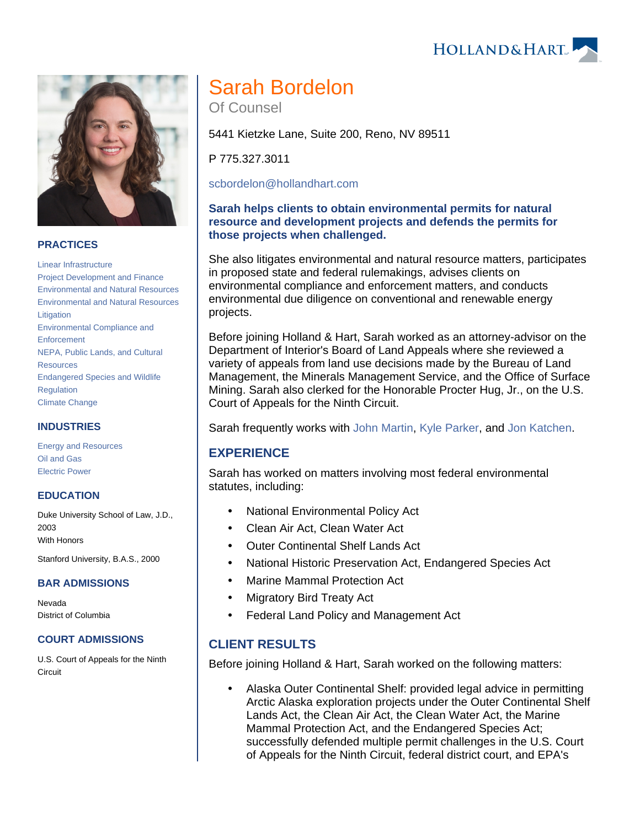## **PRACTICES**

[Linear Infrastructure](https://www.hollandhart.com/19674)  [Project Development and Finance](https://www.hollandhart.com/19763) [Environmental and Natural Resources](https://www.hollandhart.com/19667) [Environmental and Natural Resources](https://www.hollandhart.com/19745)  [Litigation](https://www.hollandhart.com/19745) [Environmental Compliance and](https://www.hollandhart.com/19693)  **[Enforcement](https://www.hollandhart.com/19693)** [NEPA, Public Lands, and Cultural](https://www.hollandhart.com/19723)  [Resources](https://www.hollandhart.com/19723) [Endangered Species and Wildlife](https://www.hollandhart.com/19709)  [Regulation](https://www.hollandhart.com/19709) [Climate Change](https://www.hollandhart.com/41566)

#### **INDUSTRIES**

[Energy and Resources](https://www.hollandhart.com/28508) [Oil and Gas](https://www.hollandhart.com/19705) [Electric Power](https://www.hollandhart.com/19737)

#### **EDUCATION**

Duke University School of Law, J.D., 2003 With Honors

Stanford University, B.A.S., 2000

#### **BAR ADMISSIONS**

Nevada District of Columbia

#### **COURT ADMISSIONS**

U.S. Court of Appeals for the Ninth **Circuit** 

# Sarah Bordelon

Of Counsel

5441 Kietzke Lane, Suite 200, Reno, NV 89511

P 775.327.3011

[scbordelon@hollandhart.com](mailto:scbordelon@hollandhart.com)

#### **Sarah helps clients to obtain environmental permits for natural resource and development projects and defends the permits for those projects when challenged.**

She also litigates environmental and natural resource matters, participates in proposed state and federal rulemakings, advises clients on environmental compliance and enforcement matters, and conducts environmental due diligence on conventional and renewable energy projects.

Before joining Holland & Hart, Sarah worked as an attorney-advisor on the Department of Interior's Board of Land Appeals where she reviewed a variety of appeals from land use decisions made by the Bureau of Land Management, the Minerals Management Service, and the Office of Surface Mining. Sarah also clerked for the Honorable Procter Hug, Jr., on the U.S. Court of Appeals for the Ninth Circuit.

Sarah frequently works with [John Martin](https://www.hollandhart.com/jmartin), [Kyle Parker](https://www.hollandhart.com/kparker), and [Jon Katchen](https://www.hollandhart.com/jkatchen).

## **EXPERIENCE**

Sarah has worked on matters involving most federal environmental statutes, including:

- National Environmental Policy Act
- Clean Air Act, Clean Water Act
- Outer Continental Shelf Lands Act
- National Historic Preservation Act, Endangered Species Act
- Marine Mammal Protection Act
- Migratory Bird Treaty Act
- Federal Land Policy and Management Act

# **CLIENT RESULTS**

Before joining Holland & Hart, Sarah worked on the following matters:

 Alaska Outer Continental Shelf: provided legal advice in permitting Arctic Alaska exploration projects under the Outer Continental Shelf Lands Act, the Clean Air Act, the Clean Water Act, the Marine Mammal Protection Act, and the Endangered Species Act; successfully defended multiple permit challenges in the U.S. Court of Appeals for the Ninth Circuit, federal district court, and EPA's

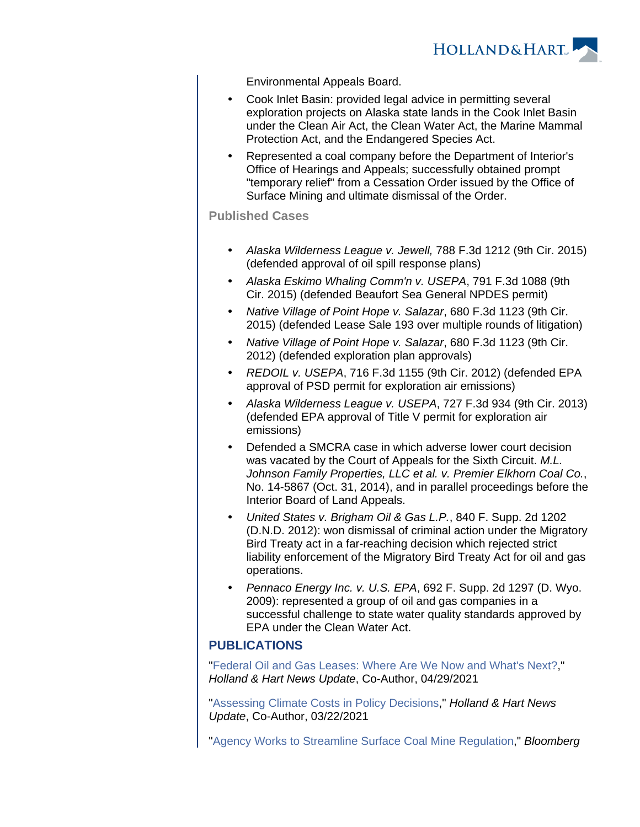

Environmental Appeals Board.

- Cook Inlet Basin: provided legal advice in permitting several exploration projects on Alaska state lands in the Cook Inlet Basin under the Clean Air Act, the Clean Water Act, the Marine Mammal Protection Act, and the Endangered Species Act.
- Represented a coal company before the Department of Interior's Office of Hearings and Appeals; successfully obtained prompt "temporary relief" from a Cessation Order issued by the Office of Surface Mining and ultimate dismissal of the Order.

#### **Published Cases**

- Alaska Wilderness League v. Jewell, 788 F.3d 1212 (9th Cir. 2015) (defended approval of oil spill response plans)
- Alaska Eskimo Whaling Comm'n v. USEPA, 791 F.3d 1088 (9th Cir. 2015) (defended Beaufort Sea General NPDES permit)
- Native Village of Point Hope v. Salazar, 680 F.3d 1123 (9th Cir. 2015) (defended Lease Sale 193 over multiple rounds of litigation)
- Native Village of Point Hope v. Salazar, 680 F.3d 1123 (9th Cir. 2012) (defended exploration plan approvals)
- REDOIL v. USEPA, 716 F.3d 1155 (9th Cir. 2012) (defended EPA approval of PSD permit for exploration air emissions)
- Alaska Wilderness League v. USEPA, 727 F.3d 934 (9th Cir. 2013) (defended EPA approval of Title V permit for exploration air emissions)
- Defended a SMCRA case in which adverse lower court decision was vacated by the Court of Appeals for the Sixth Circuit. M.L. Johnson Family Properties, LLC et al. v. Premier Elkhorn Coal Co., No. 14-5867 (Oct. 31, 2014), and in parallel proceedings before the Interior Board of Land Appeals.
- United States v. Brigham Oil & Gas L.P., 840 F. Supp. 2d 1202 (D.N.D. 2012): won dismissal of criminal action under the Migratory Bird Treaty act in a far-reaching decision which rejected strict liability enforcement of the Migratory Bird Treaty Act for oil and gas operations.
- Pennaco Energy Inc. v. U.S. EPA, 692 F. Supp. 2d 1297 (D. Wyo. 2009): represented a group of oil and gas companies in a successful challenge to state water quality standards approved by EPA under the Clean Water Act.

## **PUBLICATIONS**

"[Federal Oil and Gas Leases: Where Are We Now and What's Next?](https://www.hollandhart.com/39256)," Holland & Hart News Update, Co-Author, 04/29/2021

"[Assessing Climate Costs in Policy Decisions](https://www.hollandhart.com/39014)," Holland & Hart News Update, Co-Author, 03/22/2021

"[Agency Works to Streamline Surface Coal Mine Regulation,](https://www.hollandhart.com/37712)" Bloomberg